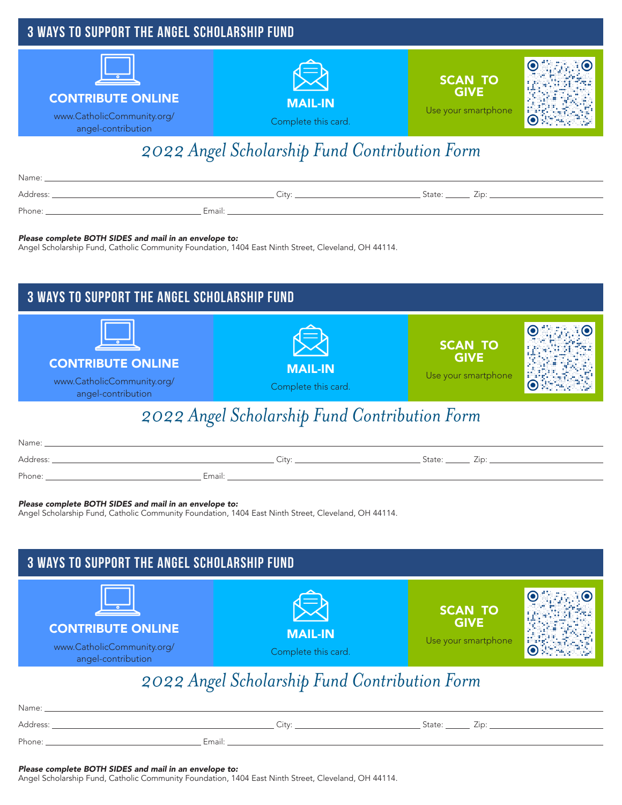

## *2022 Angel Scholarship Fund Contribution Form*

| Name:    |        |        |     |
|----------|--------|--------|-----|
| Address: | ∩i+v   | State: | Zir |
| Phone:   | Email: |        |     |

#### *Please complete BOTH SIDES and mail in an envelope to:*

Angel Scholarship Fund, Catholic Community Foundation, 1404 East Ninth Street, Cleveland, OH 44114.



### *2022 Angel Scholarship Fund Contribution Form*

| Name:    |             |        |                  |
|----------|-------------|--------|------------------|
| Address: | $\cap$ itvr | State: | 7in <sup>-</sup> |
| Phone:   | Email:      |        |                  |

#### *Please complete BOTH SIDES and mail in an envelope to:*

Angel Scholarship Fund, Catholic Community Foundation, 1404 East Ninth Street, Cleveland, OH 44114.



| . <u>. .</u> |        |        |                   |
|--------------|--------|--------|-------------------|
| Address:     | City   | State: | ÷.<br>$\angle$ IC |
| Phone:       | Email: |        |                   |

*Please complete BOTH SIDES and mail in an envelope to:*  Angel Scholarship Fund, Catholic Community Foundation, 1404 East Ninth Street, Cleveland, OH 44114.